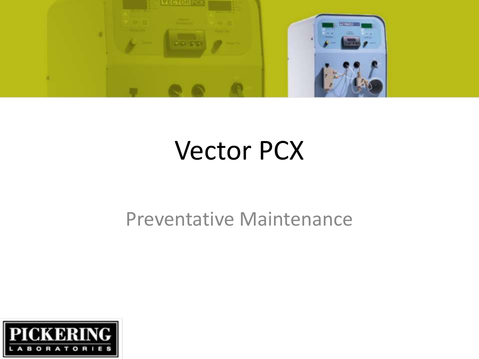

### Vector PCX

#### Preventative Maintenance

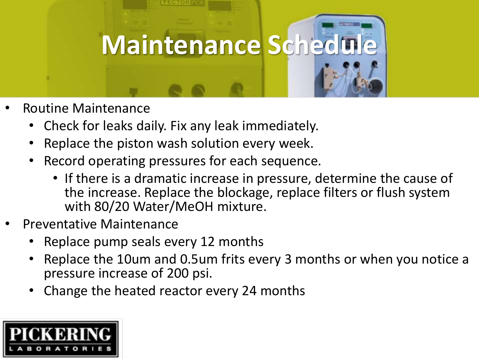

- Routine Maintenance
	- Check for leaks daily. Fix any leak immediately.
	- Replace the piston wash solution every week.
	- Record operating pressures for each sequence.
		- If there is a dramatic increase in pressure, determine the cause of the increase. Replace the blockage, replace filters or flush system with 80/20 Water/MeOH mixture.
- Preventative Maintenance
	- Replace pump seals every 12 months
	- Replace the 10um and 0.5um frits every 3 months or when you notice a pressure increase of 200 psi.
	- Change the heated reactor every 24 months

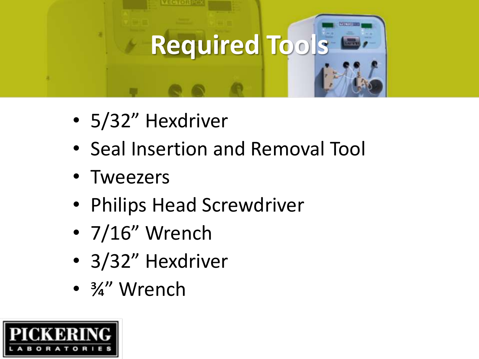

- 5/32" Hexdriver
- Seal Insertion and Removal Tool
- Tweezers
- Philips Head Screwdriver
- 7/16" Wrench
- 3/32" Hexdriver
- 3/2" Wrench

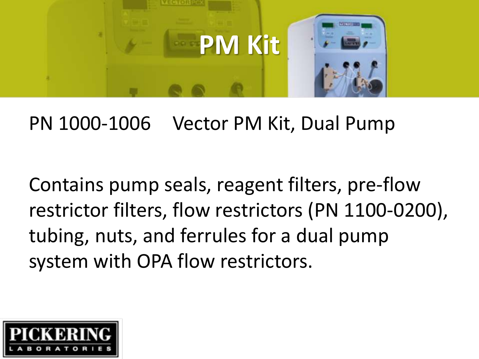

#### PN 1000-1006 Vector PM Kit, Dual Pump

Contains pump seals, reagent filters, pre-flow restrictor filters, flow restrictors (PN 1100-0200), tubing, nuts, and ferrules for a dual pump system with OPA flow restrictors.

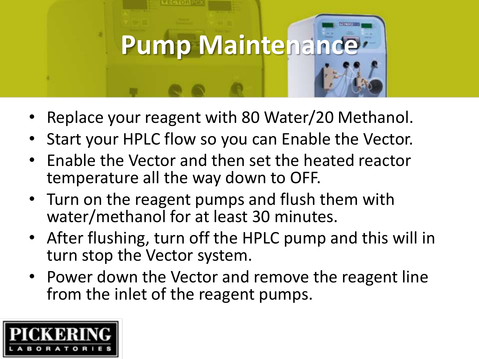

- Replace your reagent with 80 Water/20 Methanol.
- Start your HPLC flow so you can Enable the Vector.
- Enable the Vector and then set the heated reactor temperature all the way down to OFF.
- Turn on the reagent pumps and flush them with water/methanol for at least 30 minutes.
- After flushing, turn off the HPLC pump and this will in turn stop the Vector system.
- Power down the Vector and remove the reagent line from the inlet of the reagent pumps.

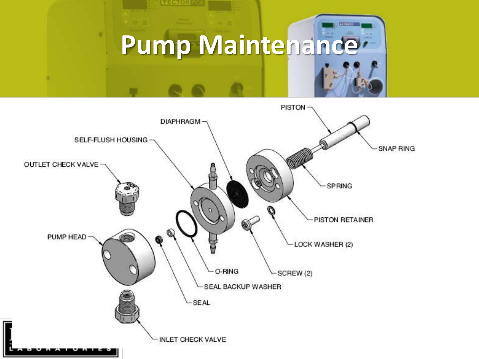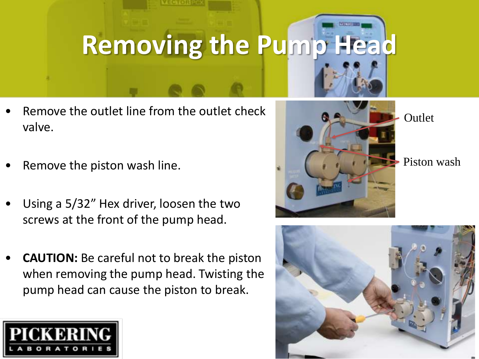### **Removing the Pump Head**

- Remove the outlet line from the outlet check valve.
- Remove the piston wash line.
- Using a 5/32" Hex driver, loosen the two screws at the front of the pump head.
- **CAUTION:** Be careful not to break the piston when removing the pump head. Twisting the pump head can cause the piston to break.





**Outlet** 



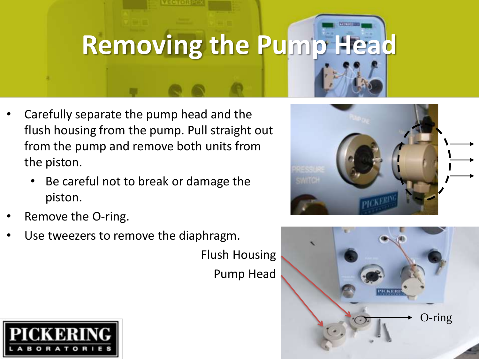## **Removing the Pump Head**

- Carefully separate the pump head and the flush housing from the pump. Pull straight out from the pump and remove both units from the piston.
	- Be careful not to break or damage the piston.
- Remove the O-ring.
- Use tweezers to remove the diaphragm.

Flush Housing

Pump Head





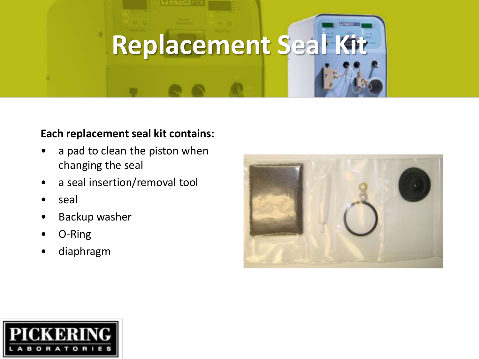# **Replacement Seal Kit**

#### **Each replacement seal kit contains:**

- a pad to clean the piston when changing the seal
- a seal insertion/removal tool
- seal
- Backup washer
- O-Ring
- diaphragm



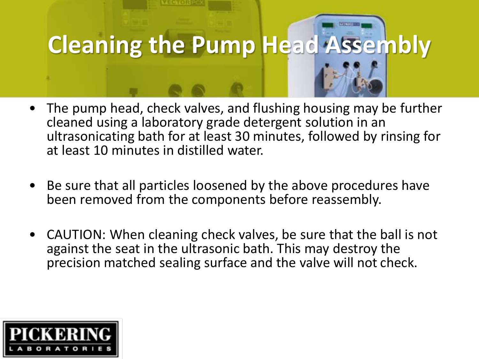

- The pump head, check valves, and flushing housing may be further cleaned using a laboratory grade detergent solution in an ultrasonicating bath for at least 30 minutes, followed by rinsing for at least 10 minutes in distilled water.
- Be sure that all particles loosened by the above procedures have been removed from the components before reassembly.
- CAUTION: When cleaning check valves, be sure that the ball is not against the seat in the ultrasonic bath. This may destroy the precision matched sealing surface and the valve will not check.

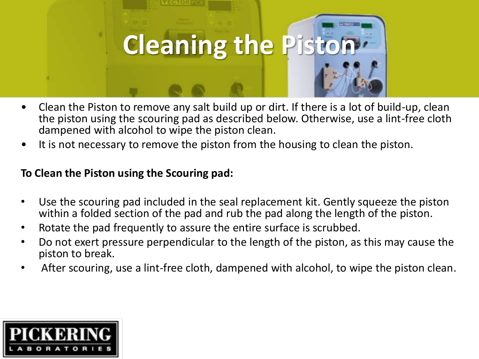

- Clean the Piston to remove any salt build up or dirt. If there is a lot of build-up, clean the piston using the scouring pad as described below. Otherwise, use a lint-free cloth dampened with alcohol to wipe the piston clean.
- It is not necessary to remove the piston from the housing to clean the piston.

#### **To Clean the Piston using the Scouring pad:**

- Use the scouring pad included in the seal replacement kit. Gently squeeze the piston within a folded section of the pad and rub the pad along the length of the piston.
- Rotate the pad frequently to assure the entire surface is scrubbed.
- Do not exert pressure perpendicular to the length of the piston, as this may cause the piston to break.
- After scouring, use a lint-free cloth, dampened with alcohol, to wipe the piston clean.

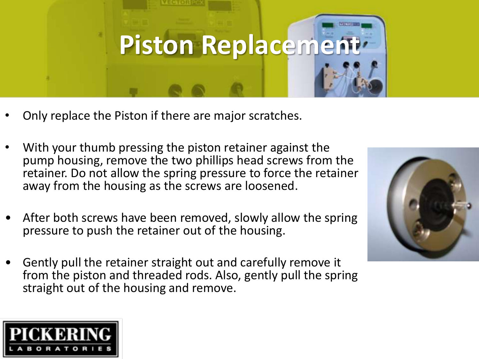

- Only replace the Piston if there are major scratches.
- With your thumb pressing the piston retainer against the pump housing, remove the two phillips head screws from the retainer. Do not allow the spring pressure to force the retainer away from the housing as the screws are loosened.
- After both screws have been removed, slowly allow the spring pressure to push the retainer out of the housing.
- Gently pull the retainer straight out and carefully remove it from the piston and threaded rods. Also, gently pull the spring straight out of the housing and remove.



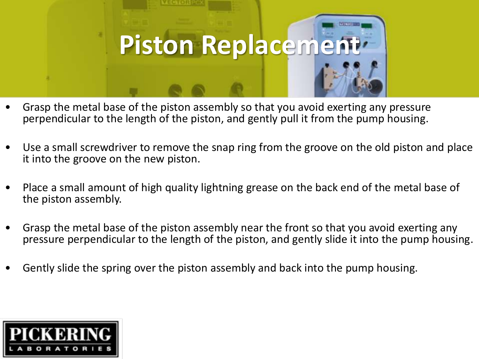

- Grasp the metal base of the piston assembly so that you avoid exerting any pressure perpendicular to the length of the piston, and gently pull it from the pump housing.
- Use a small screwdriver to remove the snap ring from the groove on the old piston and place it into the groove on the new piston.
- Place a small amount of high quality lightning grease on the back end of the metal base of the piston assembly.
- Grasp the metal base of the piston assembly near the front so that you avoid exerting any pressure perpendicular to the length of the piston, and gently slide it into the pump housing.
- Gently slide the spring over the piston assembly and back into the pump housing.

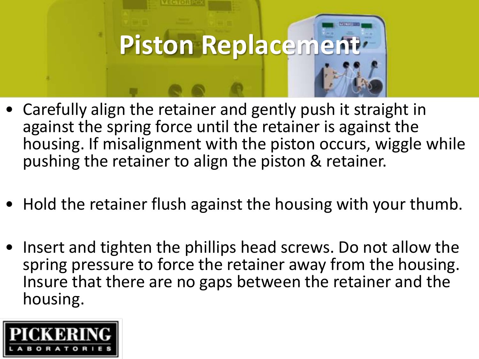

- Carefully align the retainer and gently push it straight in against the spring force until the retainer is against the housing. If misalignment with the piston occurs, wiggle while pushing the retainer to align the piston & retainer.
- Hold the retainer flush against the housing with your thumb.
- Insert and tighten the phillips head screws. Do not allow the spring pressure to force the retainer away from the housing. Insure that there are no gaps between the retainer and the housing.

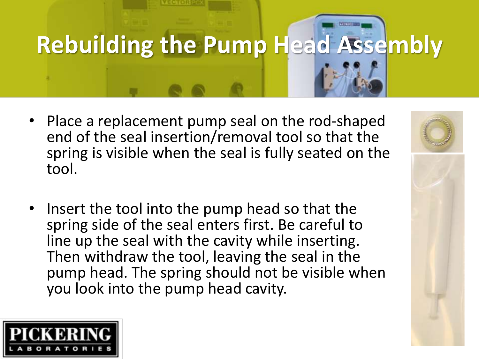# **Rebuilding the Pump Head Assembly**

- Place a replacement pump seal on the rod-shaped end of the seal insertion/removal tool so that the spring is visible when the seal is fully seated on the tool.
- Insert the tool into the pump head so that the spring side of the seal enters first. Be careful to line up the seal with the cavity while inserting. Then withdraw the tool, leaving the seal in the pump head. The spring should not be visible when you look into the pump head cavity.



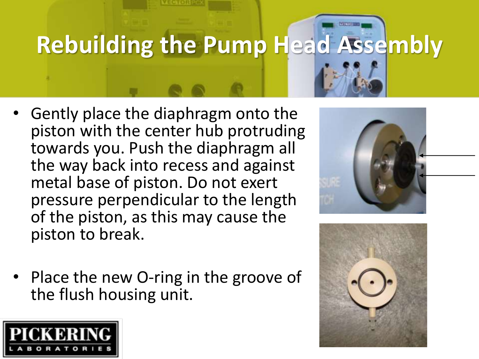## **Rebuilding the Pump Head Assembly**

- Gently place the diaphragm onto the piston with the center hub protruding towards you. Push the diaphragm all the way back into recess and against metal base of piston. Do not exert pressure perpendicular to the length of the piston, as this may cause the piston to break.
- Place the new O-ring in the groove of the flush housing unit.





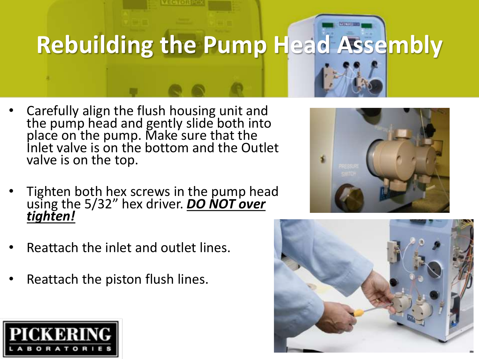

- Carefully align the flush housing unit and the pump head and gently slide both into place on the pump. Make sure that the Inlet valve is on the bottom and the Outlet valve is on the top.
- Tighten both hex screws in the pump head using the 5/32" hex driver. *DO NOT over tighten!*
- Reattach the inlet and outlet lines.
- Reattach the piston flush lines.

![](_page_16_Picture_5.jpeg)

![](_page_16_Picture_6.jpeg)

![](_page_16_Picture_7.jpeg)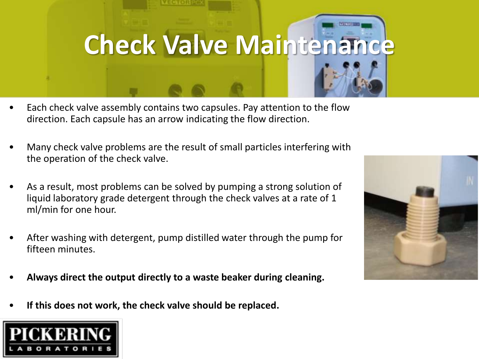# **Check Valve Maintenance**

- Each check valve assembly contains two capsules. Pay attention to the flow direction. Each capsule has an arrow indicating the flow direction.
- Many check valve problems are the result of small particles interfering with the operation of the check valve.
- As a result, most problems can be solved by pumping a strong solution of liquid laboratory grade detergent through the check valves at a rate of 1 ml/min for one hour.
- After washing with detergent, pump distilled water through the pump for fifteen minutes.
- **Always direct the output directly to a waste beaker during cleaning.**
- **If this does not work, the check valve should be replaced.**

![](_page_17_Picture_7.jpeg)

![](_page_17_Picture_8.jpeg)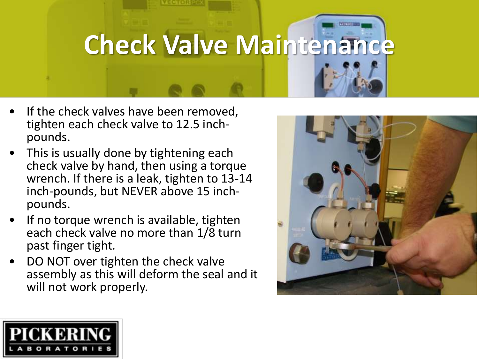![](_page_18_Picture_0.jpeg)

- If the check valves have been removed, tighten each check valve to 12.5 inchpounds.
- This is usually done by tightening each check valve by hand, then using a torque wrench. If there is a leak, tighten to 13-14 inch-pounds, but NEVER above 15 inchpounds.
- If no torque wrench is available, tighten each check valve no more than 1/8 turn past finger tight.
- DO NOT over tighten the check valve assembly as this will deform the seal and it will not work properly.

![](_page_18_Picture_5.jpeg)

![](_page_18_Picture_6.jpeg)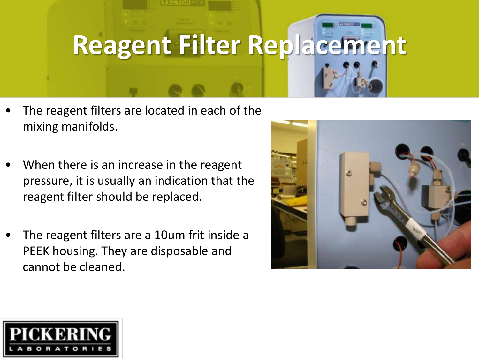### **Reagent Filter Replacement**

- The reagent filters are located in each of the mixing manifolds.
- When there is an increase in the reagent pressure, it is usually an indication that the reagent filter should be replaced.
- The reagent filters are a 10um frit inside a PEEK housing. They are disposable and cannot be cleaned.

![](_page_19_Picture_4.jpeg)

![](_page_19_Picture_5.jpeg)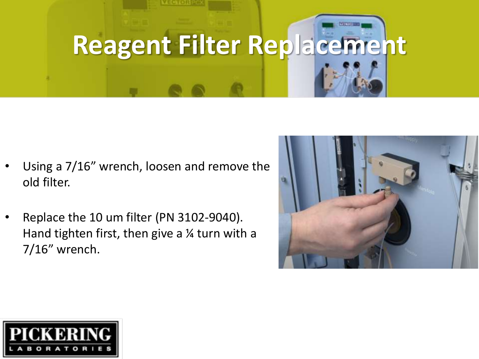![](_page_20_Picture_0.jpeg)

- Using a 7/16" wrench, loosen and remove the old filter.
- Replace the 10 um filter (PN 3102-9040). Hand tighten first, then give a  $\frac{1}{4}$  turn with a 7/16" wrench.

![](_page_20_Picture_3.jpeg)

![](_page_20_Picture_4.jpeg)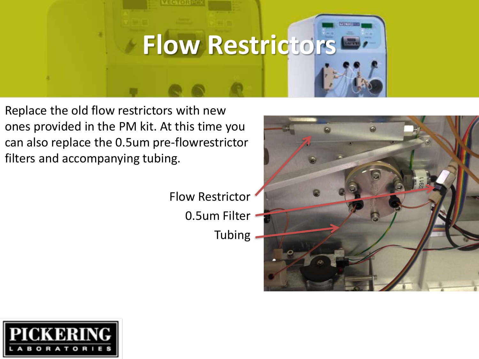![](_page_21_Picture_0.jpeg)

Replace the old flow restrictors with new ones provided in the PM kit. At this time you can also replace the 0.5um pre-flowrestrictor filters and accompanying tubing.

> Flow Restrictor 0.5um Filter **Tubing**

![](_page_21_Picture_3.jpeg)

![](_page_21_Picture_4.jpeg)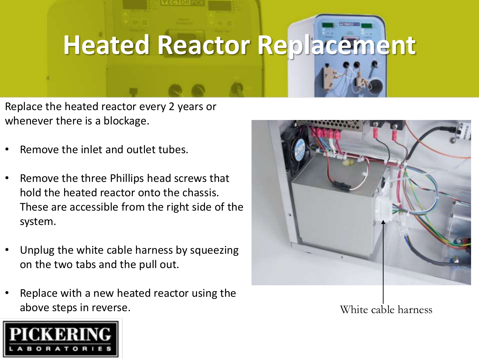## **Heated Reactor Replacement**

Replace the heated reactor every 2 years or whenever there is a blockage.

- Remove the inlet and outlet tubes.
- Remove the three Phillips head screws that hold the heated reactor onto the chassis. These are accessible from the right side of the system.
- Unplug the white cable harness by squeezing on the two tabs and the pull out.
- Replace with a new heated reactor using the above steps in reverse.

![](_page_22_Picture_6.jpeg)

White cable harness

![](_page_22_Picture_8.jpeg)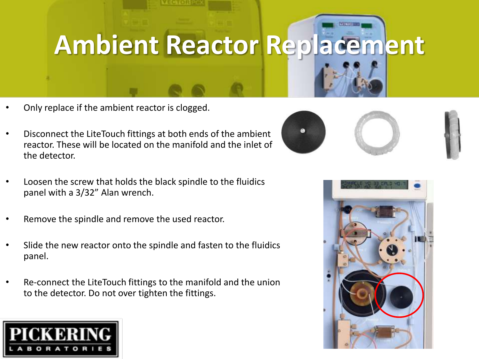### **Ambient Reactor Replacement**

- Only replace if the ambient reactor is clogged.
- Disconnect the LiteTouch fittings at both ends of the ambient reactor. These will be located on the manifold and the inlet of the detector.
- Loosen the screw that holds the black spindle to the fluidics panel with a 3/32" Alan wrench.
- Remove the spindle and remove the used reactor.
- Slide the new reactor onto the spindle and fasten to the fluidics panel.
- Re-connect the LiteTouch fittings to the manifold and the union to the detector. Do not over tighten the fittings.

![](_page_23_Picture_7.jpeg)

![](_page_23_Picture_8.jpeg)

![](_page_23_Picture_9.jpeg)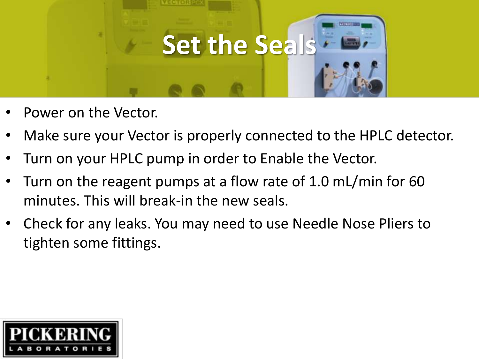![](_page_24_Picture_0.jpeg)

- Power on the Vector.
- Make sure your Vector is properly connected to the HPLC detector.
- Turn on your HPLC pump in order to Enable the Vector.
- Turn on the reagent pumps at a flow rate of 1.0 mL/min for 60 minutes. This will break-in the new seals.
- Check for any leaks. You may need to use Needle Nose Pliers to tighten some fittings.

![](_page_24_Picture_6.jpeg)